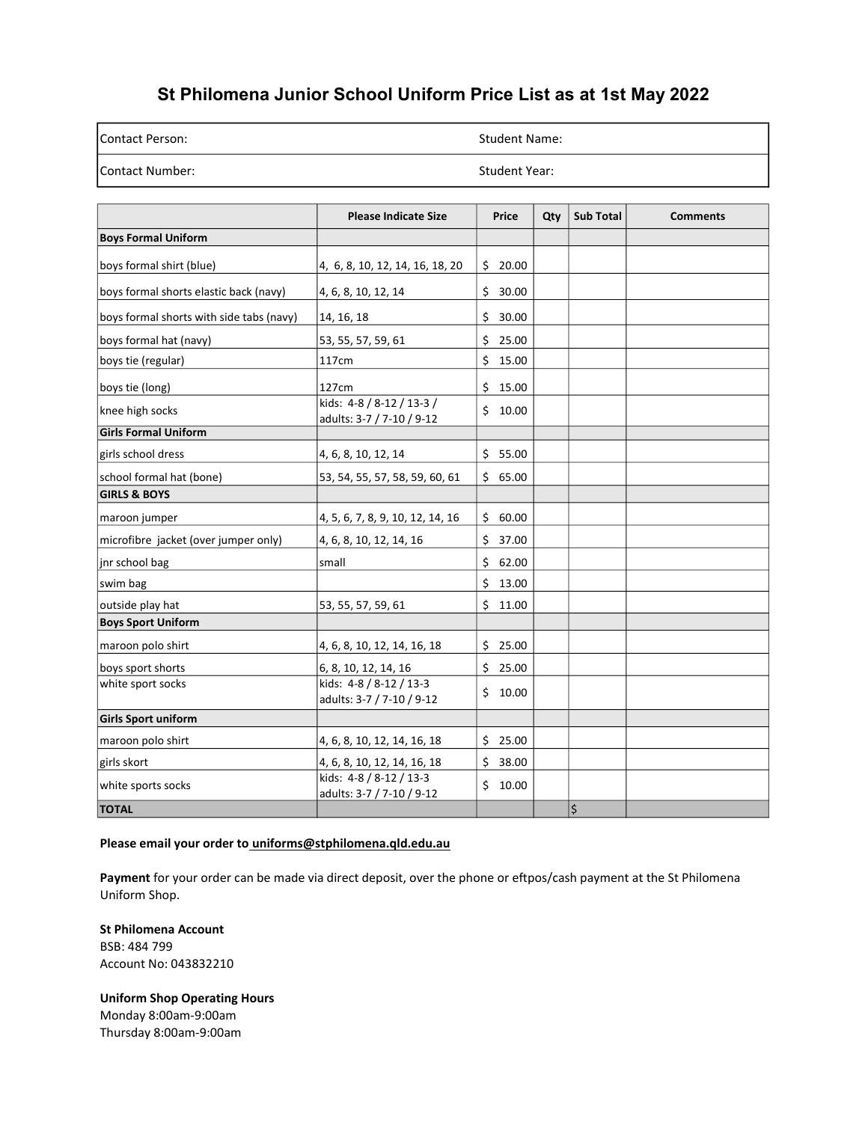## St Philomena Junior School Uniform Price List as at 1st May 2022

| lContact Person: | <b>Student Name:</b> |
|------------------|----------------------|
| Contact Number:  | Student Year:        |

|                                          | <b>Please Indicate Size</b>                            | Price       | Qty | <b>Sub Total</b> | <b>Comments</b> |
|------------------------------------------|--------------------------------------------------------|-------------|-----|------------------|-----------------|
| <b>Boys Formal Uniform</b>               |                                                        |             |     |                  |                 |
| boys formal shirt (blue)                 | 4, 6, 8, 10, 12, 14, 16, 18, 20                        | 20.00<br>\$ |     |                  |                 |
| boys formal shorts elastic back (navy)   | 4, 6, 8, 10, 12, 14                                    | \$<br>30.00 |     |                  |                 |
| boys formal shorts with side tabs (navy) | 14, 16, 18                                             | \$<br>30.00 |     |                  |                 |
| boys formal hat (navy)                   | 53, 55, 57, 59, 61                                     | \$<br>25.00 |     |                  |                 |
| boys tie (regular)                       | 117cm                                                  | \$<br>15.00 |     |                  |                 |
| boys tie (long)                          | 127cm                                                  | Ś.<br>15.00 |     |                  |                 |
| knee high socks                          | kids: 4-8 / 8-12 / 13-3 /<br>adults: 3-7 / 7-10 / 9-12 | Ś.<br>10.00 |     |                  |                 |
| <b>Girls Formal Uniform</b>              |                                                        |             |     |                  |                 |
| girls school dress                       | 4, 6, 8, 10, 12, 14                                    | \$5.00      |     |                  |                 |
| school formal hat (bone)                 | 53, 54, 55, 57, 58, 59, 60, 61                         | Ś.<br>65.00 |     |                  |                 |
| <b>GIRLS &amp; BOYS</b>                  |                                                        |             |     |                  |                 |
| maroon jumper                            | 4, 5, 6, 7, 8, 9, 10, 12, 14, 16                       | Ś.<br>60.00 |     |                  |                 |
| microfibre jacket (over jumper only)     | 4, 6, 8, 10, 12, 14, 16                                | \$<br>37.00 |     |                  |                 |
| inr school bag                           | small                                                  | Ś.<br>62.00 |     |                  |                 |
| swim bag                                 |                                                        | \$<br>13.00 |     |                  |                 |
| outside play hat                         | 53, 55, 57, 59, 61                                     | \$<br>11.00 |     |                  |                 |
| <b>Boys Sport Uniform</b>                |                                                        |             |     |                  |                 |
| maroon polo shirt                        | 4, 6, 8, 10, 12, 14, 16, 18                            | \$25.00     |     |                  |                 |
| boys sport shorts                        | 6, 8, 10, 12, 14, 16                                   | Ś.<br>25.00 |     |                  |                 |
| white sport socks                        | kids: 4-8 / 8-12 / 13-3<br>adults: 3-7 / 7-10 / 9-12   | \$<br>10.00 |     |                  |                 |
| Girls Sport uniform                      |                                                        |             |     |                  |                 |
| maroon polo shirt                        | 4, 6, 8, 10, 12, 14, 16, 18                            | \$25.00     |     |                  |                 |
| girls skort                              | 4, 6, 8, 10, 12, 14, 16, 18                            | Ś.<br>38.00 |     |                  |                 |
| white sports socks                       | kids: 4-8 / 8-12 / 13-3<br>adults: 3-7 / 7-10 / 9-12   | 10.00<br>Ś. |     |                  |                 |
| <b>TOTAL</b>                             |                                                        |             |     | \$               |                 |

#### Please email your order to uniforms@stphilomena.qld.edu.au

Payment for your order can be made via direct deposit, over the phone or eftpos/cash payment at the St Philomena Uniform Shop.

St Philomena Account BSB: 484 799 Account No: 043832210

Uniform Shop Operating Hours Monday 8:00am-9:00am Thursday 8:00am-9:00am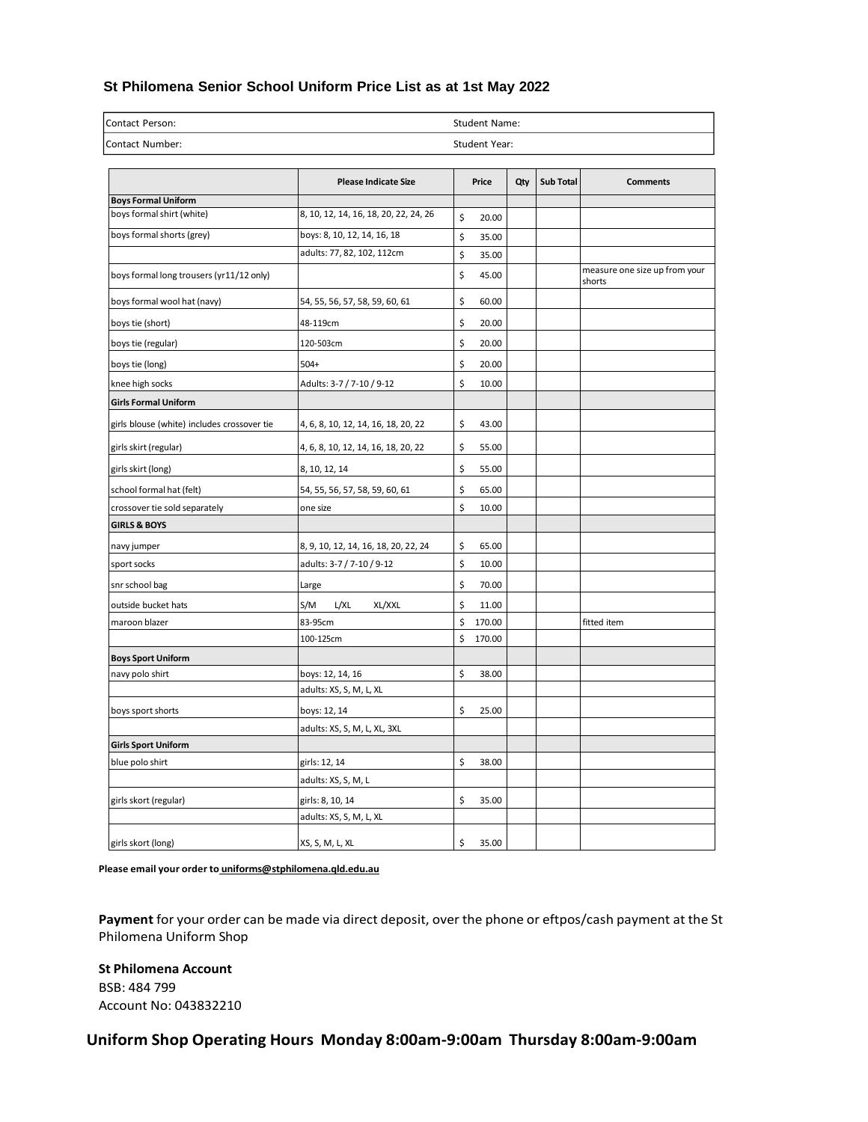#### **St Philomena Senior School Uniform Price List as at 1st May 2022**

| Contact Person: | <b>Student Name:</b> |
|-----------------|----------------------|
| Contact Number: | Student Year:        |

|                                             | <b>Please Indicate Size</b>           | Price        | Qty | <b>Sub Total</b> | <b>Comments</b>                         |
|---------------------------------------------|---------------------------------------|--------------|-----|------------------|-----------------------------------------|
| <b>Boys Formal Uniform</b>                  |                                       |              |     |                  |                                         |
| boys formal shirt (white)                   | 8, 10, 12, 14, 16, 18, 20, 22, 24, 26 | \$<br>20.00  |     |                  |                                         |
| boys formal shorts (grey)                   | boys: 8, 10, 12, 14, 16, 18           | \$<br>35.00  |     |                  |                                         |
|                                             | adults: 77, 82, 102, 112cm            | \$<br>35.00  |     |                  |                                         |
| boys formal long trousers (yr11/12 only)    |                                       | \$<br>45.00  |     |                  | measure one size up from your<br>shorts |
| boys formal wool hat (navy)                 | 54, 55, 56, 57, 58, 59, 60, 61        | \$<br>60.00  |     |                  |                                         |
| boys tie (short)                            | 48-119cm                              | \$<br>20.00  |     |                  |                                         |
| boys tie (regular)                          | 120-503cm                             | \$<br>20.00  |     |                  |                                         |
| boys tie (long)                             | $504+$                                | \$<br>20.00  |     |                  |                                         |
| knee high socks                             | Adults: 3-7 / 7-10 / 9-12             | \$<br>10.00  |     |                  |                                         |
| <b>Girls Formal Uniform</b>                 |                                       |              |     |                  |                                         |
| girls blouse (white) includes crossover tie | 4, 6, 8, 10, 12, 14, 16, 18, 20, 22   | \$<br>43.00  |     |                  |                                         |
| girls skirt (regular)                       | 4, 6, 8, 10, 12, 14, 16, 18, 20, 22   | \$<br>55.00  |     |                  |                                         |
| girls skirt (long)                          | 8, 10, 12, 14                         | \$<br>55.00  |     |                  |                                         |
| school formal hat (felt)                    | 54, 55, 56, 57, 58, 59, 60, 61        | \$<br>65.00  |     |                  |                                         |
| crossover tie sold separately               | one size                              | \$<br>10.00  |     |                  |                                         |
| <b>GIRLS &amp; BOYS</b>                     |                                       |              |     |                  |                                         |
| navy jumper                                 | 8, 9, 10, 12, 14, 16, 18, 20, 22, 24  | \$<br>65.00  |     |                  |                                         |
| sport socks                                 | adults: 3-7 / 7-10 / 9-12             | \$<br>10.00  |     |                  |                                         |
| snr school bag                              | Large                                 | \$<br>70.00  |     |                  |                                         |
| outside bucket hats                         | S/M<br>L/XL<br>XL/XXL                 | \$<br>11.00  |     |                  |                                         |
| maroon blazer                               | 83-95cm                               | \$<br>170.00 |     |                  | fitted item                             |
|                                             | 100-125cm                             | \$<br>170.00 |     |                  |                                         |
| <b>Boys Sport Uniform</b>                   |                                       |              |     |                  |                                         |
| navy polo shirt                             | boys: 12, 14, 16                      | \$<br>38.00  |     |                  |                                         |
|                                             | adults: XS, S, M, L, XL               |              |     |                  |                                         |
| boys sport shorts                           | boys: 12, 14                          | \$<br>25.00  |     |                  |                                         |
|                                             | adults: XS, S, M, L, XL, 3XL          |              |     |                  |                                         |
| <b>Girls Sport Uniform</b>                  |                                       |              |     |                  |                                         |
| blue polo shirt                             | girls: 12, 14                         | \$<br>38.00  |     |                  |                                         |
|                                             | adults: XS, S, M, L                   |              |     |                  |                                         |
| girls skort (regular)                       | girls: 8, 10, 14                      | \$<br>35.00  |     |                  |                                         |
|                                             | adults: XS, S, M, L, XL               |              |     |                  |                                         |
| girls skort (long)                          | XS, S, M, L, XL                       | \$<br>35.00  |     |                  |                                         |

**Please email your order to [uniforms@stphilomena.qld.edu.au](mailto:uniforms@stphilomena.qld.edu.au)**

**Payment** for your order can be made via direct deposit, over the phone or eftpos/cash payment at the St Philomena Uniform Shop

**St Philomena Account** BSB: 484 799 Account No: 043832210

### **Uniform Shop Operating Hours Monday 8:00am-9:00am Thursday 8:00am-9:00am**